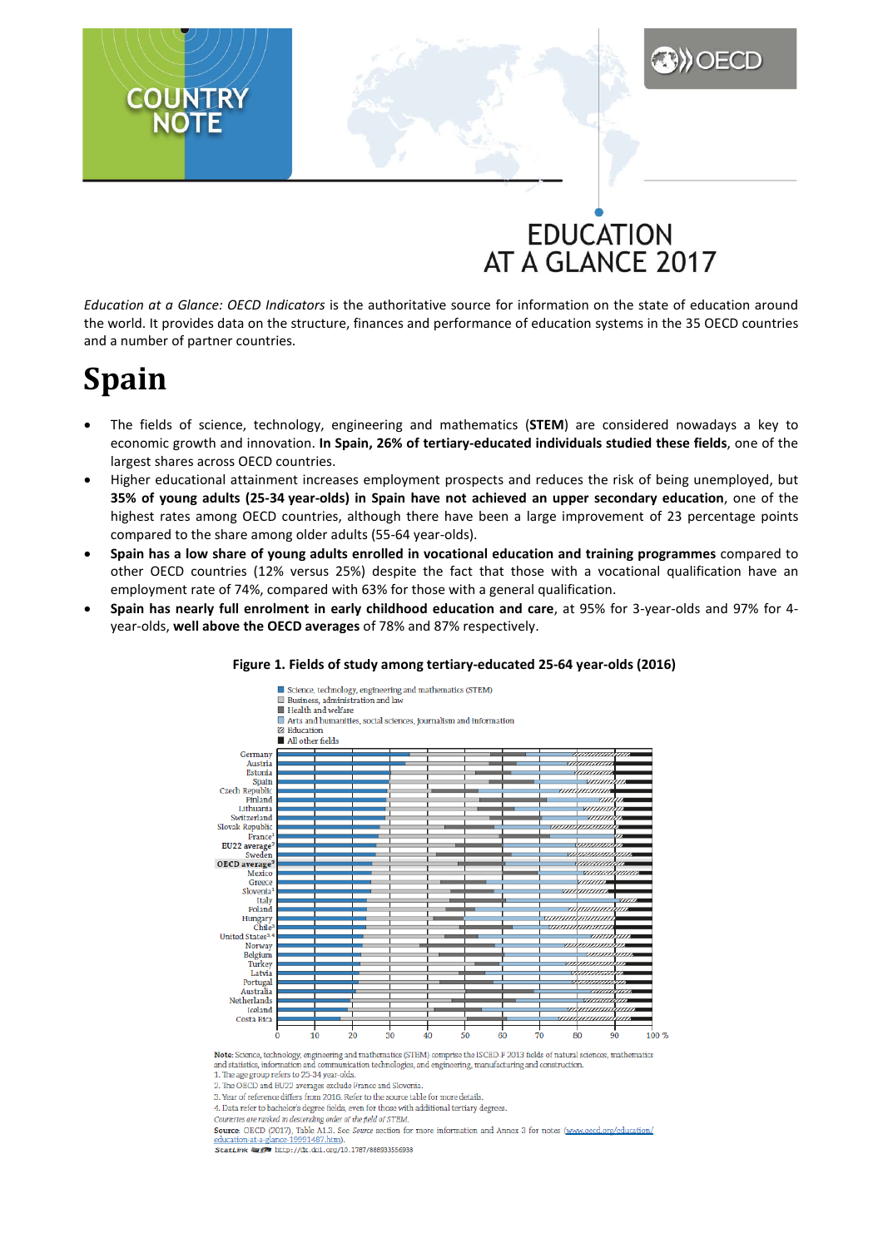## **EDUCATION** AT A GLANCE 2017

*Education at a Glance: OECD Indicators* is the authoritative source for information on the state of education around the world. It provides data on the structure, finances and performance of education systems in the 35 OECD countries and a number of partner countries.

# **Spain**

**COUNTRY** 

- The fields of science, technology, engineering and mathematics (**STEM**) are considered nowadays a key to economic growth and innovation. **In Spain, 26% of tertiary-educated individuals studied these fields**, one of the largest shares across OECD countries.
- Higher educational attainment increases employment prospects and reduces the risk of being unemployed, but **35% of young adults (25-34 year-olds) in Spain have not achieved an upper secondary education**, one of the highest rates among OECD countries, although there have been a large improvement of 23 percentage points compared to the share among older adults (55-64 year-olds).
- **Spain has a low share of young adults enrolled in vocational education and training programmes** compared to other OECD countries (12% versus 25%) despite the fact that those with a vocational qualification have an employment rate of 74%, compared with 63% for those with a general qualification.
- **Spain has nearly full enrolment in early childhood education and care**, at 95% for 3-year-olds and 97% for 4 year-olds, **well above the OECD averages** of 78% and 87% respectively.



#### **Figure 1. Fields of study among tertiary-educated 25-64 year-olds (2016)**

Note: Science, technology, engineering and mathematics (STEM) comprise the ISCED-F 2013 fields of natural sciences, mathematics and statistics, informati n and comm inication technologies, and engineering, manufacturing and construction

1. The age group refers to 25-34 year-olds 2. The OECD and EU22 averages exclude France and Slovenia

3. Year of reference differs from 2016. Refer to the source table for more details.

4. Data refer to bachelor's degree fields, even for those with additional tertiary degrees.

Countries are ranked in descending order of the field of STEM.

Source: OECD (2017), Table A1.3. See Source section for more information and Annex 3 for notes (www.oecd.org/education/ ance-19991487.htm). education-at-a-glance-19991487.htm).<br>StatLink Mage http://dx.doi.org/10.1787/888933556938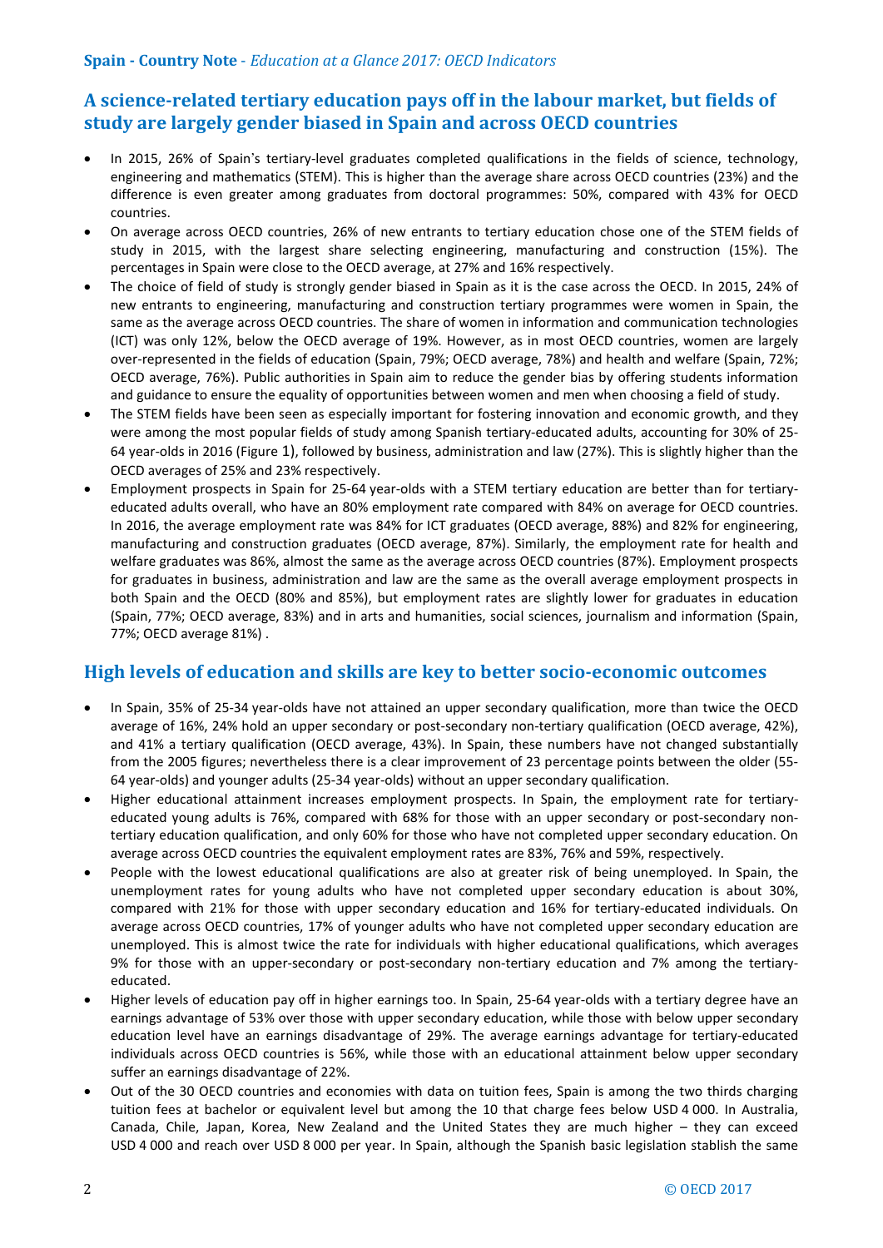## **A science-related tertiary education pays off in the labour market, but fields of study are largely gender biased in Spain and across OECD countries**

- In 2015, 26% of Spain's tertiary-level graduates completed qualifications in the fields of science, technology, engineering and mathematics (STEM). This is higher than the average share across OECD countries (23%) and the difference is even greater among graduates from doctoral programmes: 50%, compared with 43% for OECD countries.
- On average across OECD countries, 26% of new entrants to tertiary education chose one of the STEM fields of study in 2015, with the largest share selecting engineering, manufacturing and construction (15%). The percentages in Spain were close to the OECD average, at 27% and 16% respectively.
- The choice of field of study is strongly gender biased in Spain as it is the case across the OECD. In 2015, 24% of new entrants to engineering, manufacturing and construction tertiary programmes were women in Spain, the same as the average across OECD countries. The share of women in information and communication technologies (ICT) was only 12%, below the OECD average of 19%. However, as in most OECD countries, women are largely over-represented in the fields of education (Spain, 79%; OECD average, 78%) and health and welfare (Spain, 72%; OECD average, 76%). Public authorities in Spain aim to reduce the gender bias by offering students information and guidance to ensure the equality of opportunities between women and men when choosing a field of study.
- The STEM fields have been seen as especially important for fostering innovation and economic growth, and they were among the most popular fields of study among Spanish tertiary-educated adults, accounting for 30% of 25- 64 year-olds in 2016 (Figure 1), followed by business, administration and law (27%). This is slightly higher than the OECD averages of 25% and 23% respectively.
- Employment prospects in Spain for 25-64 year-olds with a STEM tertiary education are better than for tertiaryeducated adults overall, who have an 80% employment rate compared with 84% on average for OECD countries. In 2016, the average employment rate was 84% for ICT graduates (OECD average, 88%) and 82% for engineering, manufacturing and construction graduates (OECD average, 87%). Similarly, the employment rate for health and welfare graduates was 86%, almost the same as the average across OECD countries (87%). Employment prospects for graduates in business, administration and law are the same as the overall average employment prospects in both Spain and the OECD (80% and 85%), but employment rates are slightly lower for graduates in education (Spain, 77%; OECD average, 83%) and in arts and humanities, social sciences, journalism and information (Spain, 77%; OECD average 81%) .

## **High levels of education and skills are key to better socio-economic outcomes**

- In Spain, 35% of 25-34 year-olds have not attained an upper secondary qualification, more than twice the OECD average of 16%, 24% hold an upper secondary or post-secondary non-tertiary qualification (OECD average, 42%), and 41% a tertiary qualification (OECD average, 43%). In Spain, these numbers have not changed substantially from the 2005 figures; nevertheless there is a clear improvement of 23 percentage points between the older (55- 64 year-olds) and younger adults (25-34 year-olds) without an upper secondary qualification.
- Higher educational attainment increases employment prospects. In Spain, the employment rate for tertiaryeducated young adults is 76%, compared with 68% for those with an upper secondary or post-secondary nontertiary education qualification, and only 60% for those who have not completed upper secondary education. On average across OECD countries the equivalent employment rates are 83%, 76% and 59%, respectively.
- People with the lowest educational qualifications are also at greater risk of being unemployed. In Spain, the unemployment rates for young adults who have not completed upper secondary education is about 30%, compared with 21% for those with upper secondary education and 16% for tertiary-educated individuals. On average across OECD countries, 17% of younger adults who have not completed upper secondary education are unemployed. This is almost twice the rate for individuals with higher educational qualifications, which averages 9% for those with an upper-secondary or post-secondary non-tertiary education and 7% among the tertiaryeducated.
- Higher levels of education pay off in higher earnings too. In Spain, 25-64 year-olds with a tertiary degree have an earnings advantage of 53% over those with upper secondary education, while those with below upper secondary education level have an earnings disadvantage of 29%. The average earnings advantage for tertiary-educated individuals across OECD countries is 56%, while those with an educational attainment below upper secondary suffer an earnings disadvantage of 22%.
- Out of the 30 OECD countries and economies with data on tuition fees, Spain is among the two thirds charging tuition fees at bachelor or equivalent level but among the 10 that charge fees below USD 4 000. In Australia, Canada, Chile, Japan, Korea, New Zealand and the United States they are much higher – they can exceed USD 4 000 and reach over USD 8 000 per year. In Spain, although the Spanish basic legislation stablish the same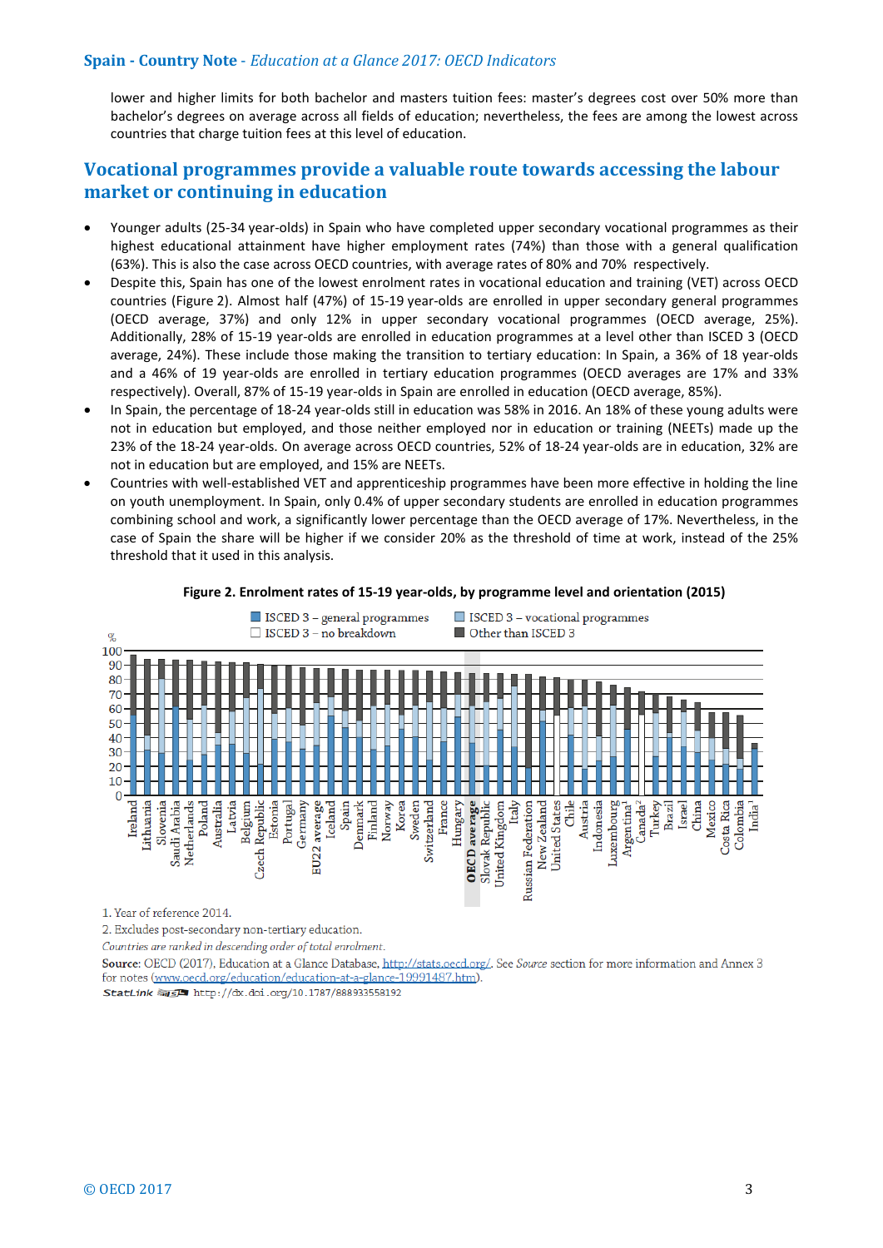#### **Spain - Country Note** - *Education at a Glance 2017: OECD Indicators*

lower and higher limits for both bachelor and masters tuition fees: master's degrees cost over 50% more than bachelor's degrees on average across all fields of education; nevertheless, the fees are among the lowest across countries that charge tuition fees at this level of education.

## **Vocational programmes provide a valuable route towards accessing the labour market or continuing in education**

- Younger adults (25-34 year-olds) in Spain who have completed upper secondary vocational programmes as their highest educational attainment have higher employment rates (74%) than those with a general qualification (63%). This is also the case across OECD countries, with average rates of 80% and 70% respectively.
- Despite this, Spain has one of the lowest enrolment rates in vocational education and training (VET) across OECD countries (Figure 2). Almost half (47%) of 15-19 year-olds are enrolled in upper secondary general programmes (OECD average, 37%) and only 12% in upper secondary vocational programmes (OECD average, 25%). Additionally, 28% of 15-19 year-olds are enrolled in education programmes at a level other than ISCED 3 (OECD average, 24%). These include those making the transition to tertiary education: In Spain, a 36% of 18 year-olds and a 46% of 19 year-olds are enrolled in tertiary education programmes (OECD averages are 17% and 33% respectively). Overall, 87% of 15-19 year-olds in Spain are enrolled in education (OECD average, 85%).
- In Spain, the percentage of 18-24 year-olds still in education was 58% in 2016. An 18% of these young adults were not in education but employed, and those neither employed nor in education or training (NEETs) made up the 23% of the 18-24 year-olds. On average across OECD countries, 52% of 18-24 year-olds are in education, 32% are not in education but are employed, and 15% are NEETs.
- Countries with well-established VET and apprenticeship programmes have been more effective in holding the line on youth unemployment. In Spain, only 0.4% of upper secondary students are enrolled in education programmes combining school and work, a significantly lower percentage than the OECD average of 17%. Nevertheless, in the case of Spain the share will be higher if we consider 20% as the threshold of time at work, instead of the 25% threshold that it used in this analysis.



#### **Figure 2. Enrolment rates of 15-19 year-olds, by programme level and orientation (2015)**

1. Year of reference 2014.

2. Excludes post-secondary non-tertiary education.

Countries are ranked in descending order of total enrolment.

Source: OECD (2017), Education at a Glance Database, http://stats.oecd.org/. See Source section for more information and Annex 3 for notes (www.oecd.org/education/education-at-a-glance-19991487.htm).

StatLink @15<sup>2</sup> http://dx.doi.org/10.1787/888933558192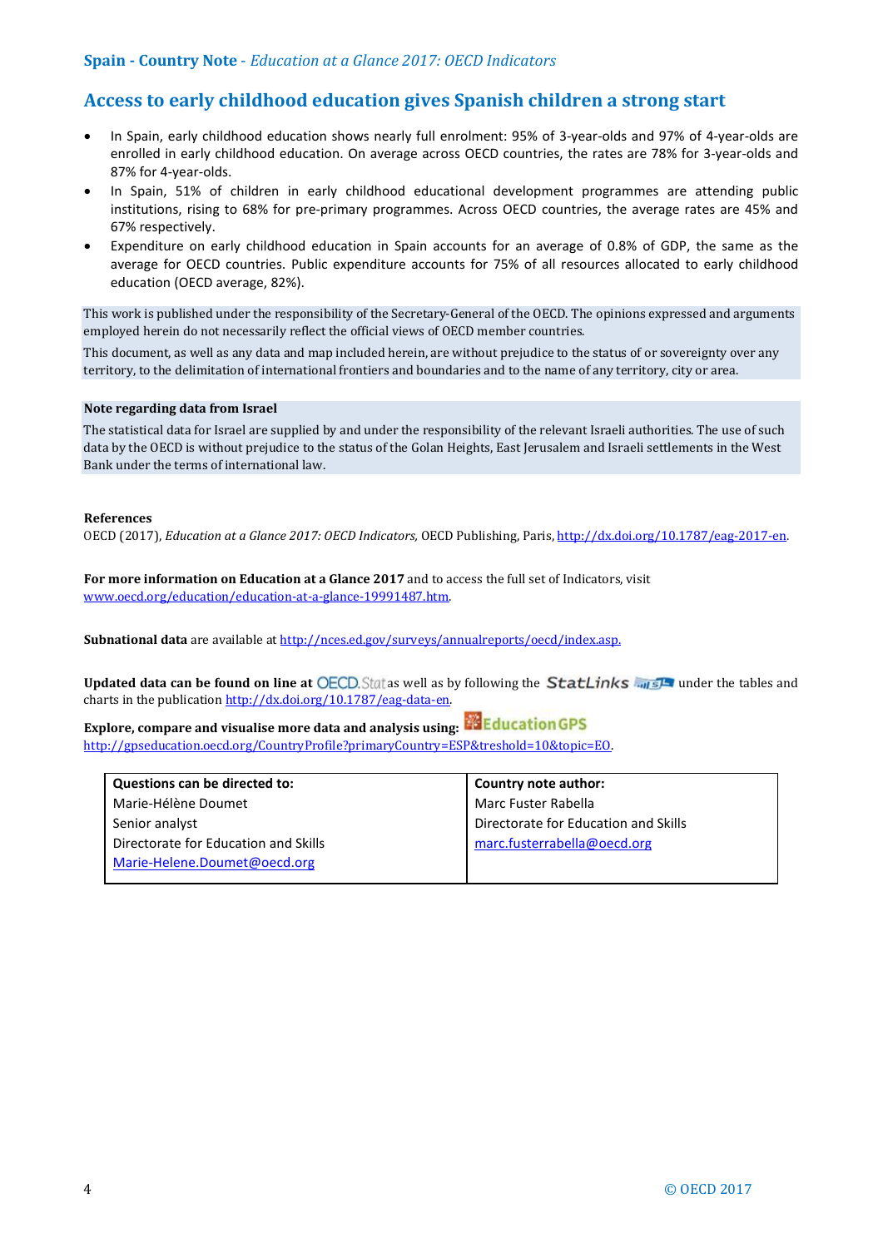## **Access to early childhood education gives Spanish children a strong start**

- In Spain, early childhood education shows nearly full enrolment: 95% of 3-year-olds and 97% of 4-year-olds are enrolled in early childhood education. On average across OECD countries, the rates are 78% for 3-year-olds and 87% for 4-year-olds.
- In Spain, 51% of children in early childhood educational development programmes are attending public institutions, rising to 68% for pre-primary programmes. Across OECD countries, the average rates are 45% and 67% respectively.
- Expenditure on early childhood education in Spain accounts for an average of 0.8% of GDP, the same as the average for OECD countries. Public expenditure accounts for 75% of all resources allocated to early childhood education (OECD average, 82%).

This work is published under the responsibility of the Secretary-General of the OECD. The opinions expressed and arguments employed herein do not necessarily reflect the official views of OECD member countries.

This document, as well as any data and map included herein, are without prejudice to the status of or sovereignty over any territory, to the delimitation of international frontiers and boundaries and to the name of any territory, city or area.

#### **Note regarding data from Israel**

The statistical data for Israel are supplied by and under the responsibility of the relevant Israeli authorities. The use of such data by the OECD is without prejudice to the status of the Golan Heights, East Jerusalem and Israeli settlements in the West Bank under the terms of international law.

#### **References**

OECD (2017), *Education at a Glance 2017: OECD Indicators,* OECD Publishing, Paris[, http://dx.doi.org/10.1787/eag-2017-en.](http://dx.doi.org/10.1787/eag-2017-en)

**For more information on Education at a Glance 2017** and to access the full set of Indicators, visit [www.oecd.org/education/education-at-a-glance-19991487.htm.](http://www.oecd.org/education/education-at-a-glance-19991487.htm) 

Subnational data are available a[t http://nces.ed.gov/surveys/annualreports/oecd/index.asp.](http://nces.ed.gov/surveys/annualreports/oecd/index.asp)

**Updated data can be found on line at OECD.** Stat as well as by following the **StatLinks** and state under the tables and charts in the publicatio[n http://dx.doi.org/10.1787/eag-data-en.](http://dx.doi.org/10.1787/eag-data-en)

**Explore, compare and visualise more data and analysis using:** [http://gpseducation.oecd.org/CountryProfile?primaryCountry=ESP&treshold=10&topic=EO.](http://gpseducation.oecd.org/CountryProfile?primaryCountry=ESP&treshold=10&topic=EO)

| Questions can be directed to:        | Country note author:                 |
|--------------------------------------|--------------------------------------|
| Marie-Hélène Doumet                  | Marc Fuster Rabella                  |
| Senior analyst                       | Directorate for Education and Skills |
| Directorate for Education and Skills | marc.fusterrabella@oecd.org          |
| Marie-Helene.Doumet@oecd.org         |                                      |
|                                      |                                      |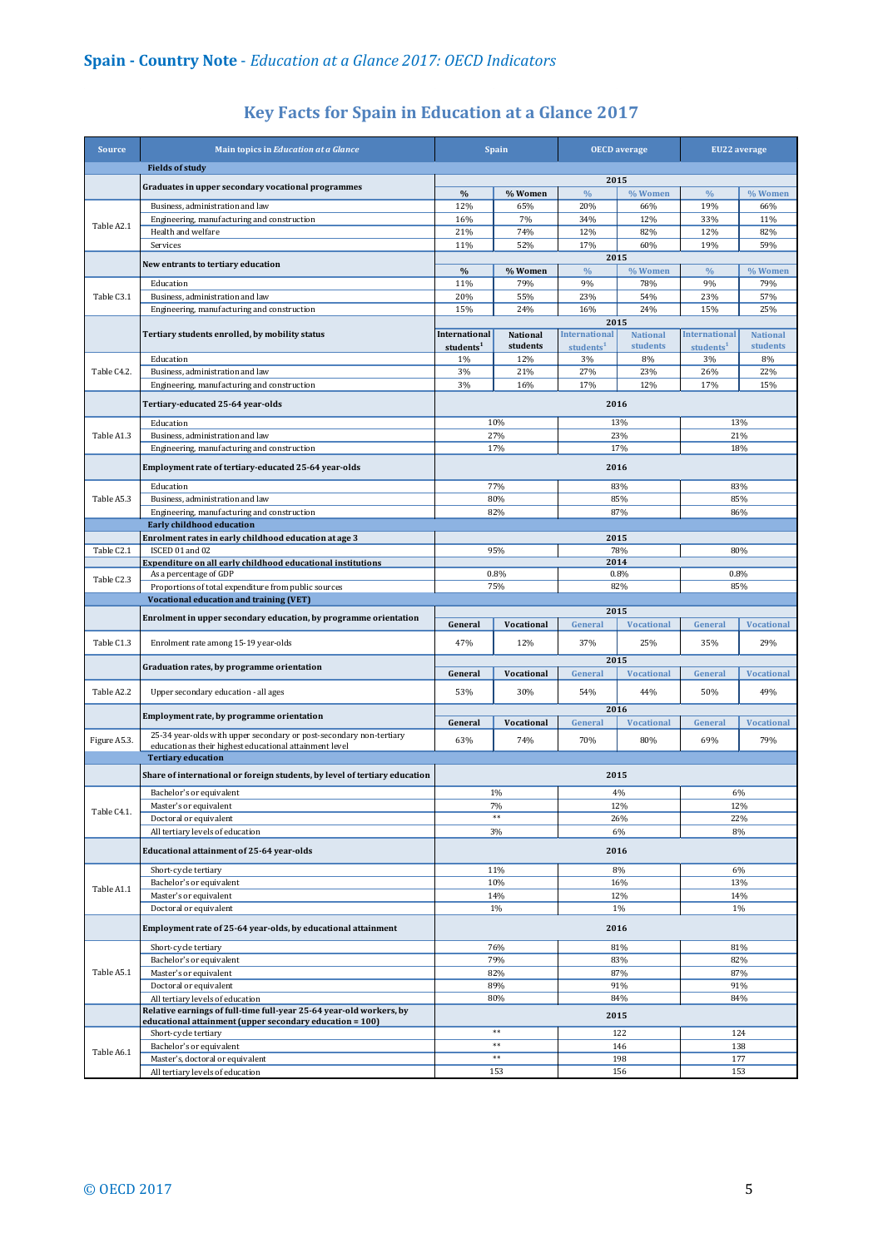| <b>Source</b> | Main topics in Education at a Glance                                            | <b>Spain</b>          |                      | <b>OECD</b> average                  |                             | <b>EU22</b> average   |                             |  |
|---------------|---------------------------------------------------------------------------------|-----------------------|----------------------|--------------------------------------|-----------------------------|-----------------------|-----------------------------|--|
|               | <b>Fields of study</b>                                                          |                       |                      |                                      |                             |                       |                             |  |
|               | Graduates in upper secondary vocational programmes                              |                       |                      |                                      | 2015                        |                       |                             |  |
|               |                                                                                 | $\frac{0}{0}$         | % Women              | $\frac{0}{0}$                        | % Women                     | $\%$                  | % Women                     |  |
|               | Business, administration and law<br>Engineering, manufacturing and construction | 12%<br>16%            | 65%<br>7%            | 20%<br>34%                           | 66%<br>12%                  | 19%<br>33%            | 66%<br>11%                  |  |
| Table A2.1    | Health and welfare                                                              | 21%                   | 74%                  | 12%                                  | 82%                         | 12%                   | 82%                         |  |
|               | Services                                                                        | 11%                   | 52%                  | 17%                                  | 60%                         | 19%                   | 59%                         |  |
|               |                                                                                 | 2015                  |                      |                                      |                             |                       |                             |  |
|               | New entrants to tertiary education                                              | $\%$                  | % Women              | $\frac{0}{0}$                        | % Women                     | $\frac{0}{0}$         | % Women                     |  |
|               | Education                                                                       | 11%                   | 79%                  | 9%                                   | 78%                         | 9%                    | 79%                         |  |
| Table C3.1    | Business, administration and law                                                | 20%                   | 55%                  | 23%                                  | 54%                         | 23%                   | 57%                         |  |
|               | Engineering, manufacturing and construction                                     | 15%                   | 24%                  | 16%                                  | 24%                         | 15%                   | 25%                         |  |
|               | Tertiary students enrolled, by mobility status                                  | <b>International</b>  |                      | <b>International</b>                 | 2015                        | <b>International</b>  |                             |  |
|               |                                                                                 | students <sup>1</sup> | National<br>students | students <sup>1</sup>                | <b>National</b><br>students | students <sup>1</sup> | <b>National</b><br>students |  |
|               | Education                                                                       | 1%                    | 12%                  | 3%                                   | 8%                          | 3%                    | 8%                          |  |
| Table C4.2.   | Business, administration and law                                                | 3%                    | 21%                  | 27%                                  | 23%                         | 26%                   | 22%                         |  |
|               | Engineering, manufacturing and construction                                     | 3%                    | 16%                  | 17%                                  | 12%                         | 17%                   | 15%                         |  |
|               | Tertiary-educated 25-64 year-olds                                               |                       |                      |                                      | 2016                        |                       |                             |  |
|               |                                                                                 |                       |                      |                                      |                             |                       |                             |  |
| Table A1.3    | Education<br>Business, administration and law                                   |                       | 10%<br>27%           | 13%<br>23%                           |                             | 13%<br>21%            |                             |  |
|               | Engineering, manufacturing and construction                                     |                       | 17%                  |                                      | 17%                         |                       |                             |  |
|               |                                                                                 |                       |                      |                                      |                             | 18%                   |                             |  |
|               | Employment rate of tertiary-educated 25-64 year-olds                            |                       |                      | 2016                                 |                             |                       |                             |  |
|               | Education                                                                       |                       | 77%                  |                                      | 83%                         |                       | 83%                         |  |
| Table A5.3    | Business, administration and law                                                |                       | 80%                  |                                      | 85%                         | 85%                   |                             |  |
|               | Engineering, manufacturing and construction                                     |                       | 82%                  | 87%                                  |                             | 86%                   |                             |  |
|               | <b>Early childhood education</b>                                                |                       |                      |                                      |                             |                       |                             |  |
| Table C2.1    | Enrolment rates in early childhood education at age 3<br>ISCED 01 and 02        |                       |                      | 2015                                 |                             |                       | 80%                         |  |
|               | Expenditure on all early childhood educational institutions                     | 95%                   |                      | 78%<br>2014                          |                             |                       |                             |  |
|               | As a percentage of GDP                                                          | 0.8%                  |                      | 0.8%                                 |                             |                       | 0.8%                        |  |
| Table C2.3    | Proportions of total expenditure from public sources                            | 75%                   |                      | 82%                                  |                             | 85%                   |                             |  |
|               | <b>Vocational education and training (VET)</b>                                  |                       |                      |                                      |                             |                       |                             |  |
|               | Enrolment in upper secondary education, by programme orientation                |                       |                      | 2015<br>General<br><b>Vocational</b> |                             |                       |                             |  |
|               |                                                                                 | General               | Vocational           |                                      |                             | General               | <b>Vocational</b>           |  |
| Table C1.3    |                                                                                 |                       |                      |                                      |                             |                       |                             |  |
|               | Enrolment rate among 15-19 year-olds                                            | 47%                   | 12%                  | 37%                                  | 25%                         | 35%                   | 29%                         |  |
|               |                                                                                 |                       |                      |                                      | 2015                        |                       |                             |  |
|               | Graduation rates, by programme orientation                                      | General               | Vocational           | General                              | <b>Vocational</b>           | General               | <b>Vocational</b>           |  |
| Table A2.2    | Upper secondary education - all ages                                            | 53%                   | 30%                  | 54%                                  | 44%                         | 50%                   | 49%                         |  |
|               |                                                                                 |                       |                      |                                      |                             |                       |                             |  |
|               | Employment rate, by programme orientation                                       | General               | Vocational           | General                              | 2016<br><b>Vocational</b>   | General               | <b>Vocational</b>           |  |
|               | 25-34 year-olds with upper secondary or post-secondary non-tertiary             |                       |                      |                                      |                             |                       |                             |  |
| Figure A5.3.  | education as their highest educational attainment level                         | 63%                   | 74%                  | 70%                                  | 80%                         | 69%                   | 79%                         |  |
|               | <b>Tertiary education</b>                                                       |                       |                      |                                      |                             |                       |                             |  |
|               | Share of international or foreign students, by level of tertiary education      |                       |                      |                                      | 2015                        |                       |                             |  |
|               | Bachelor's or equivalent                                                        |                       | 1%                   |                                      | 4%                          | 6%                    |                             |  |
|               | Master's or equivalent                                                          |                       | 7%                   |                                      | 12%                         |                       | 12%                         |  |
| Table C4.1.   | Doctoral or equivalent                                                          |                       | **                   |                                      | 26%                         |                       | 22%                         |  |
|               | All tertiary levels of education                                                |                       | 3%                   |                                      | 6%                          |                       | 8%                          |  |
|               | Educational attainment of 25-64 year-olds                                       |                       |                      |                                      | 2016                        |                       |                             |  |
|               |                                                                                 |                       | 11%                  |                                      | 8%                          |                       | 6%                          |  |
|               | Short-cycle tertiary<br>Bachelor's or equivalent                                |                       | 10%                  |                                      | 16%                         |                       | 13%                         |  |
| Table A1.1    | Master's or equivalent                                                          |                       | 14%                  |                                      | 12%                         |                       | 14%                         |  |
|               | Doctoral or equivalent                                                          |                       | 1%                   |                                      | 1%                          |                       | 1%                          |  |
|               | Employment rate of 25-64 year-olds, by educational attainment                   |                       |                      |                                      | 2016                        |                       |                             |  |
|               |                                                                                 |                       |                      |                                      |                             |                       |                             |  |
|               | Short-cycle tertiary                                                            |                       | 76%                  |                                      | 81%                         |                       | 81%                         |  |
|               | Bachelor's or equivalent                                                        |                       | 79%                  |                                      | 83%                         |                       | 82%                         |  |
| Table A5.1    | Master's or equivalent<br>Doctoral or equivalent                                |                       | 82%<br>89%           |                                      | 87%<br>91%                  |                       | 87%<br>91%                  |  |
|               | All tertiary levels of education                                                |                       | 80%                  |                                      | 84%                         |                       | 84%                         |  |
|               | Relative earnings of full-time full-year 25-64 year-old workers, by             |                       |                      |                                      |                             |                       |                             |  |
|               | educational attainment (upper secondary education = 100)                        |                       |                      |                                      | 2015                        |                       |                             |  |
|               | Short-cycle tertiary                                                            |                       | $\ast\ast$<br>**     |                                      | 122                         |                       | 124                         |  |
| Table A6.1    | Bachelor's or equivalent<br>Master's, doctoral or equivalent                    |                       | **                   |                                      | 146<br>198                  | 138<br>177            |                             |  |

## **Key Facts for Spain in Education at a Glance 2017**

All tertiary levels of education

153 156 155